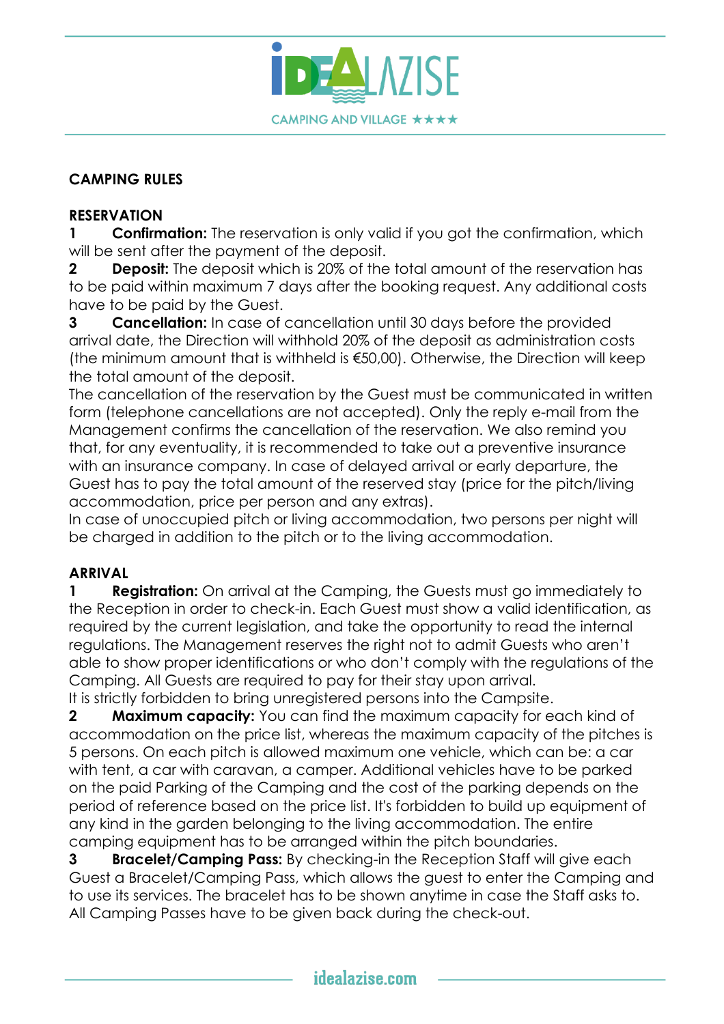

### **CAMPING RULES**

### **RESERVATION**

**1 Confirmation:** The reservation is only valid if you got the confirmation, which will be sent after the payment of the deposit.

**2 Deposit:** The deposit which is 20% of the total amount of the reservation has to be paid within maximum 7 days after the booking request. Any additional costs have to be paid by the Guest.

**3 Cancellation:** In case of cancellation until 30 days before the provided arrival date, the Direction will withhold 20% of the deposit as administration costs (the minimum amount that is withheld is €50,00). Otherwise, the Direction will keep the total amount of the deposit.

The cancellation of the reservation by the Guest must be communicated in written form (telephone cancellations are not accepted). Only the reply e-mail from the Management confirms the cancellation of the reservation. We also remind you that, for any eventuality, it is recommended to take out a preventive insurance with an insurance company. In case of delayed arrival or early departure, the Guest has to pay the total amount of the reserved stay (price for the pitch/living accommodation, price per person and any extras).

In case of unoccupied pitch or living accommodation, two persons per night will be charged in addition to the pitch or to the living accommodation.

#### **ARRIVAL**

**1 Registration:** On arrival at the Camping, the Guests must go immediately to the Reception in order to check-in. Each Guest must show a valid identification, as required by the current legislation, and take the opportunity to read the internal regulations. The Management reserves the right not to admit Guests who aren't able to show proper identifications or who don't comply with the regulations of the Camping. All Guests are required to pay for their stay upon arrival. It is strictly forbidden to bring unregistered persons into the Campsite.

**2 Maximum capacity:** You can find the maximum capacity for each kind of accommodation on the price list, whereas the maximum capacity of the pitches is 5 persons. On each pitch is allowed maximum one vehicle, which can be: a car with tent, a car with caravan, a camper. Additional vehicles have to be parked on the paid Parking of the Camping and the cost of the parking depends on the period of reference based on the price list. It's forbidden to build up equipment of any kind in the garden belonging to the living accommodation. The entire camping equipment has to be arranged within the pitch boundaries.

**3 Bracelet/Camping Pass:** By checking-in the Reception Staff will give each Guest a Bracelet/Camping Pass, which allows the guest to enter the Camping and to use its services. The bracelet has to be shown anytime in case the Staff asks to. All Camping Passes have to be given back during the check-out.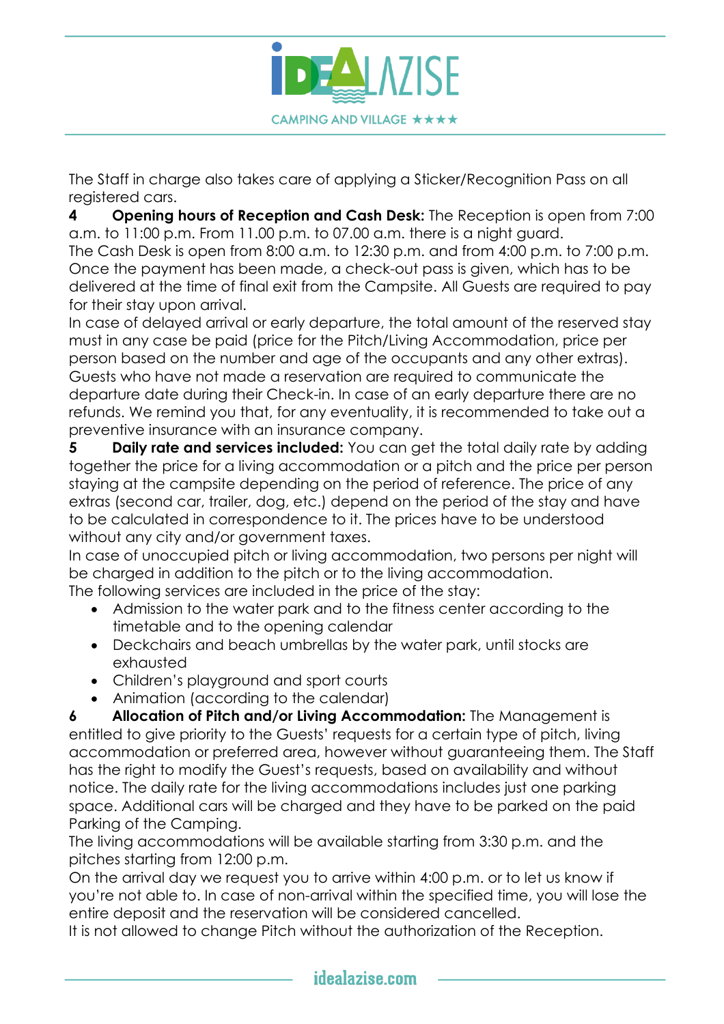

The Staff in charge also takes care of applying a Sticker/Recognition Pass on all registered cars.

**4 Opening hours of Reception and Cash Desk:** The Reception is open from 7:00 a.m. to 11:00 p.m. From 11.00 p.m. to 07.00 a.m. there is a night guard.

The Cash Desk is open from 8:00 a.m. to 12:30 p.m. and from 4:00 p.m. to 7:00 p.m. Once the payment has been made, a check-out pass is given, which has to be delivered at the time of final exit from the Campsite. All Guests are required to pay for their stay upon arrival.

In case of delayed arrival or early departure, the total amount of the reserved stay must in any case be paid (price for the Pitch/Living Accommodation, price per person based on the number and age of the occupants and any other extras). Guests who have not made a reservation are required to communicate the departure date during their Check-in. In case of an early departure there are no refunds. We remind you that, for any eventuality, it is recommended to take out a preventive insurance with an insurance company.

**5 Daily rate and services included:** You can get the total daily rate by adding together the price for a living accommodation or a pitch and the price per person staying at the campsite depending on the period of reference. The price of any extras (second car, trailer, dog, etc.) depend on the period of the stay and have to be calculated in correspondence to it. The prices have to be understood without any city and/or government taxes.

In case of unoccupied pitch or living accommodation, two persons per night will be charged in addition to the pitch or to the living accommodation. The following services are included in the price of the stay:

- Admission to the water park and to the fitness center according to the timetable and to the opening calendar
- Deckchairs and beach umbrellas by the water park, until stocks are exhausted
- Children's playground and sport courts
- Animation (according to the calendar)

**6 Allocation of Pitch and/or Living Accommodation:** The Management is entitled to give priority to the Guests' requests for a certain type of pitch, living accommodation or preferred area, however without guaranteeing them. The Staff has the right to modify the Guest's requests, based on availability and without notice. The daily rate for the living accommodations includes just one parking space. Additional cars will be charged and they have to be parked on the paid Parking of the Camping.

The living accommodations will be available starting from 3:30 p.m. and the pitches starting from 12:00 p.m.

On the arrival day we request you to arrive within 4:00 p.m. or to let us know if you're not able to. In case of non-arrival within the specified time, you will lose the entire deposit and the reservation will be considered cancelled.

It is not allowed to change Pitch without the authorization of the Reception.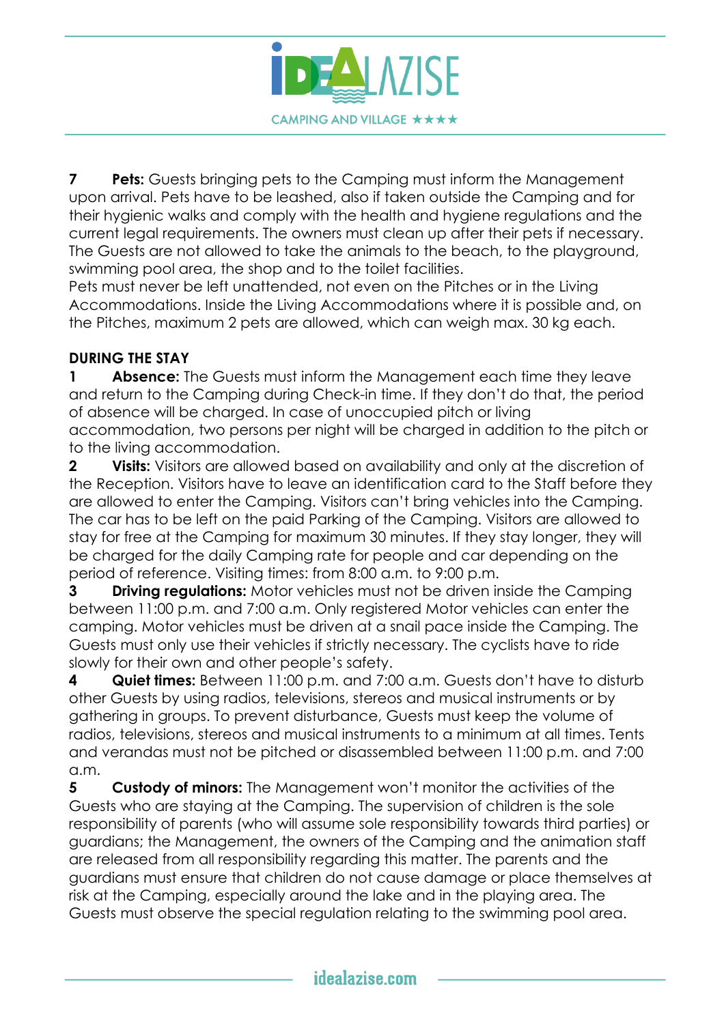

**7 Pets:** Guests bringing pets to the Camping must inform the Management upon arrival. Pets have to be leashed, also if taken outside the Camping and for their hygienic walks and comply with the health and hygiene regulations and the current legal requirements. The owners must clean up after their pets if necessary. The Guests are not allowed to take the animals to the beach, to the playground, swimming pool area, the shop and to the toilet facilities.

Pets must never be left unattended, not even on the Pitches or in the Living Accommodations. Inside the Living Accommodations where it is possible and, on the Pitches, maximum 2 pets are allowed, which can weigh max. 30 kg each.

## **DURING THE STAY**

**1 Absence:** The Guests must inform the Management each time they leave and return to the Camping during Check-in time. If they don't do that, the period of absence will be charged. In case of unoccupied pitch or living accommodation, two persons per night will be charged in addition to the pitch or to the living accommodation.

**2 Visits:** Visitors are allowed based on availability and only at the discretion of the Reception. Visitors have to leave an identification card to the Staff before they are allowed to enter the Camping. Visitors can't bring vehicles into the Camping. The car has to be left on the paid Parking of the Camping. Visitors are allowed to stay for free at the Camping for maximum 30 minutes. If they stay longer, they will be charged for the daily Camping rate for people and car depending on the period of reference. Visiting times: from 8:00 a.m. to 9:00 p.m.

**3 Driving regulations:** Motor vehicles must not be driven inside the Camping between 11:00 p.m. and 7:00 a.m. Only registered Motor vehicles can enter the camping. Motor vehicles must be driven at a snail pace inside the Camping. The Guests must only use their vehicles if strictly necessary. The cyclists have to ride slowly for their own and other people's safety.

**4 Quiet times:** Between 11:00 p.m. and 7:00 a.m. Guests don't have to disturb other Guests by using radios, televisions, stereos and musical instruments or by gathering in groups. To prevent disturbance, Guests must keep the volume of radios, televisions, stereos and musical instruments to a minimum at all times. Tents and verandas must not be pitched or disassembled between 11:00 p.m. and 7:00 a.m.

**5 Custody of minors:** The Management won't monitor the activities of the Guests who are staying at the Camping. The supervision of children is the sole responsibility of parents (who will assume sole responsibility towards third parties) or guardians; the Management, the owners of the Camping and the animation staff are released from all responsibility regarding this matter. The parents and the guardians must ensure that children do not cause damage or place themselves at risk at the Camping, especially around the lake and in the playing area. The Guests must observe the special regulation relating to the swimming pool area.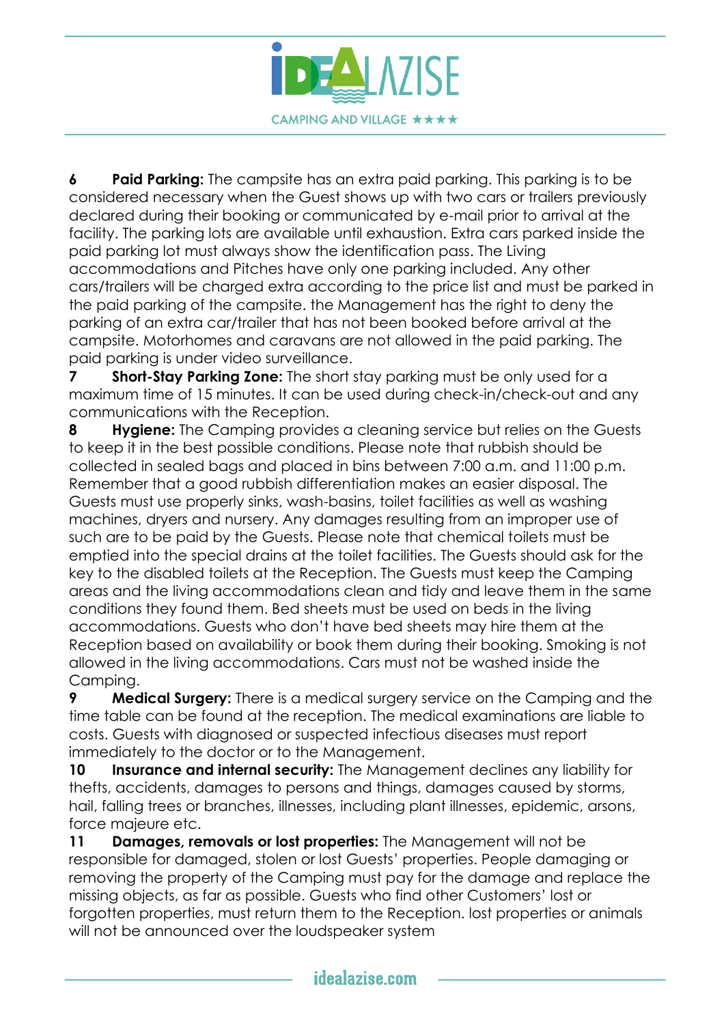

**6 Paid Parking:** The campsite has an extra paid parking. This parking is to be considered necessary when the Guest shows up with two cars or trailers previously declared during their booking or communicated by e-mail prior to arrival at the facility. The parking lots are available until exhaustion. Extra cars parked inside the paid parking lot must always show the identification pass. The Living accommodations and Pitches have only one parking included. Any other cars/trailers will be charged extra according to the price list and must be parked in the paid parking of the campsite. the Management has the right to deny the parking of an extra car/trailer that has not been booked before arrival at the campsite. Motorhomes and caravans are not allowed in the paid parking. The paid parking is under video surveillance.

**7 Short-Stay Parking Zone:** The short stay parking must be only used for a maximum time of 15 minutes. It can be used during check-in/check-out and any communications with the Reception.

**8 Hygiene:** The Camping provides a cleaning service but relies on the Guests to keep it in the best possible conditions. Please note that rubbish should be collected in sealed bags and placed in bins between 7:00 a.m. and 11:00 p.m. Remember that a good rubbish differentiation makes an easier disposal. The Guests must use properly sinks, wash-basins, toilet facilities as well as washing machines, dryers and nursery. Any damages resulting from an improper use of such are to be paid by the Guests. Please note that chemical toilets must be emptied into the special drains at the toilet facilities. The Guests should ask for the key to the disabled toilets at the Reception. The Guests must keep the Camping areas and the living accommodations clean and tidy and leave them in the same conditions they found them. Bed sheets must be used on beds in the living accommodations. Guests who don't have bed sheets may hire them at the Reception based on availability or book them during their booking. Smoking is not allowed in the living accommodations. Cars must not be washed inside the Camping.

**9 Medical Surgery:** There is a medical surgery service on the Camping and the time table can be found at the reception. The medical examinations are liable to costs. Guests with diagnosed or suspected infectious diseases must report immediately to the doctor or to the Management.

**10 Insurance and internal security:** The Management declines any liability for thefts, accidents, damages to persons and things, damages caused by storms, hail, falling trees or branches, illnesses, including plant illnesses, epidemic, arsons, force majeure etc.

**11 Damages, removals or lost properties:** The Management will not be responsible for damaged, stolen or lost Guests' properties. People damaging or removing the property of the Camping must pay for the damage and replace the missing objects, as far as possible. Guests who find other Customers' lost or forgotten properties, must return them to the Reception. lost properties or animals will not be announced over the loudspeaker system